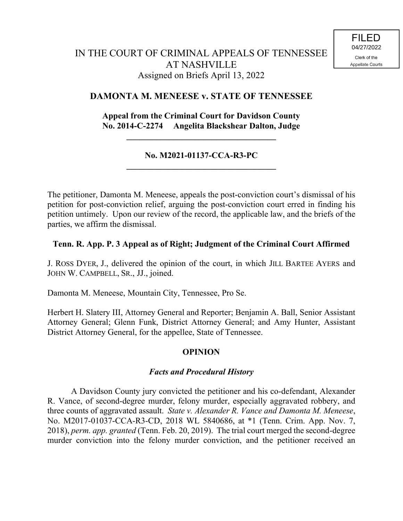# **DAMONTA M. MENEESE v. STATE OF TENNESSEE**

## **Appeal from the Criminal Court for Davidson County No. 2014-C-2274 Angelita Blackshear Dalton, Judge**

**\_\_\_\_\_\_\_\_\_\_\_\_\_\_\_\_\_\_\_\_\_\_\_\_\_\_\_\_\_\_\_\_\_\_\_**

#### **No. M2021-01137-CCA-R3-PC \_\_\_\_\_\_\_\_\_\_\_\_\_\_\_\_\_\_\_\_\_\_\_\_\_\_\_\_\_\_\_\_\_\_\_**

The petitioner, Damonta M. Meneese, appeals the post-conviction court's dismissal of his petition for post-conviction relief, arguing the post-conviction court erred in finding his petition untimely. Upon our review of the record, the applicable law, and the briefs of the parties, we affirm the dismissal.

## **Tenn. R. App. P. 3 Appeal as of Right; Judgment of the Criminal Court Affirmed**

J. ROSS DYER, J., delivered the opinion of the court, in which JILL BARTEE AYERS and JOHN W. CAMPBELL, SR., JJ., joined.

Damonta M. Meneese, Mountain City, Tennessee, Pro Se.

Herbert H. Slatery III, Attorney General and Reporter; Benjamin A. Ball, Senior Assistant Attorney General; Glenn Funk, District Attorney General; and Amy Hunter, Assistant District Attorney General, for the appellee, State of Tennessee.

## **OPINION**

## *Facts and Procedural History*

A Davidson County jury convicted the petitioner and his co-defendant, Alexander R. Vance, of second-degree murder, felony murder, especially aggravated robbery, and three counts of aggravated assault. *State v. Alexander R. Vance and Damonta M. Meneese*, No. M2017-01037-CCA-R3-CD, 2018 WL 5840686, at \*1 (Tenn. Crim. App. Nov. 7, 2018), *perm. app. granted* (Tenn. Feb. 20, 2019). The trial court merged the second-degree murder conviction into the felony murder conviction, and the petitioner received an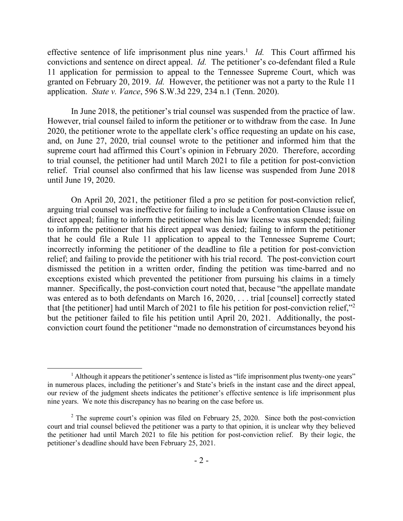effective sentence of life imprisonment plus nine years.<sup>1</sup> *Id.* This Court affirmed his convictions and sentence on direct appeal. *Id.* The petitioner's co-defendant filed a Rule 11 application for permission to appeal to the Tennessee Supreme Court, which was granted on February 20, 2019. *Id.* However, the petitioner was not a party to the Rule 11 application. *State v. Vance*, 596 S.W.3d 229, 234 n.1 (Tenn. 2020).

In June 2018, the petitioner's trial counsel was suspended from the practice of law. However, trial counsel failed to inform the petitioner or to withdraw from the case. In June 2020, the petitioner wrote to the appellate clerk's office requesting an update on his case, and, on June 27, 2020, trial counsel wrote to the petitioner and informed him that the supreme court had affirmed this Court's opinion in February 2020. Therefore, according to trial counsel, the petitioner had until March 2021 to file a petition for post-conviction relief. Trial counsel also confirmed that his law license was suspended from June 2018 until June 19, 2020.

On April 20, 2021, the petitioner filed a pro se petition for post-conviction relief, arguing trial counsel was ineffective for failing to include a Confrontation Clause issue on direct appeal; failing to inform the petitioner when his law license was suspended; failing to inform the petitioner that his direct appeal was denied; failing to inform the petitioner that he could file a Rule 11 application to appeal to the Tennessee Supreme Court; incorrectly informing the petitioner of the deadline to file a petition for post-conviction relief; and failing to provide the petitioner with his trial record. The post-conviction court dismissed the petition in a written order, finding the petition was time-barred and no exceptions existed which prevented the petitioner from pursuing his claims in a timely manner. Specifically, the post-conviction court noted that, because "the appellate mandate was entered as to both defendants on March 16, 2020, . . . trial [counsel] correctly stated that [the petitioner] had until March of 2021 to file his petition for post-conviction relief,"<sup>2</sup> but the petitioner failed to file his petition until April 20, 2021. Additionally, the postconviction court found the petitioner "made no demonstration of circumstances beyond his

 $\overline{a}$ 

<sup>&</sup>lt;sup>1</sup> Although it appears the petitioner's sentence is listed as "life imprisonment plus twenty-one years" in numerous places, including the petitioner's and State's briefs in the instant case and the direct appeal, our review of the judgment sheets indicates the petitioner's effective sentence is life imprisonment plus nine years. We note this discrepancy has no bearing on the case before us.

 $2$  The supreme court's opinion was filed on February 25, 2020. Since both the post-conviction court and trial counsel believed the petitioner was a party to that opinion, it is unclear why they believed the petitioner had until March 2021 to file his petition for post-conviction relief. By their logic, the petitioner's deadline should have been February 25, 2021.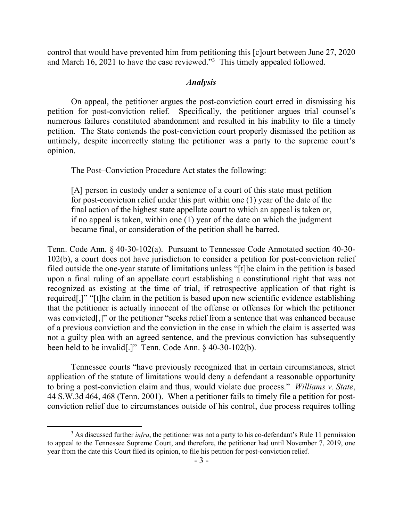control that would have prevented him from petitioning this [c]ourt between June 27, 2020 and March 16, 2021 to have the case reviewed."<sup>3</sup> This timely appealed followed.

#### *Analysis*

On appeal, the petitioner argues the post-conviction court erred in dismissing his petition for post-conviction relief. Specifically, the petitioner argues trial counsel's numerous failures constituted abandonment and resulted in his inability to file a timely petition. The State contends the post-conviction court properly dismissed the petition as untimely, despite incorrectly stating the petitioner was a party to the supreme court's opinion.

The Post–Conviction Procedure Act states the following:

[A] person in custody under a sentence of a court of this state must petition for post-conviction relief under this part within one (1) year of the date of the final action of the highest state appellate court to which an appeal is taken or, if no appeal is taken, within one (1) year of the date on which the judgment became final, or consideration of the petition shall be barred.

Tenn. Code Ann. § 40-30-102(a). Pursuant to Tennessee Code Annotated section 40-30- 102(b), a court does not have jurisdiction to consider a petition for post-conviction relief filed outside the one-year statute of limitations unless "[t]he claim in the petition is based upon a final ruling of an appellate court establishing a constitutional right that was not recognized as existing at the time of trial, if retrospective application of that right is required[,]" "[t]he claim in the petition is based upon new scientific evidence establishing that the petitioner is actually innocent of the offense or offenses for which the petitioner was convicted[,]" or the petitioner "seeks relief from a sentence that was enhanced because of a previous conviction and the conviction in the case in which the claim is asserted was not a guilty plea with an agreed sentence, and the previous conviction has subsequently been held to be invalid[.]" Tenn. Code Ann. § 40-30-102(b).

Tennessee courts "have previously recognized that in certain circumstances, strict application of the statute of limitations would deny a defendant a reasonable opportunity to bring a post-conviction claim and thus, would violate due process." *Williams v. State*, 44 S.W.3d 464, 468 (Tenn. 2001). When a petitioner fails to timely file a petition for postconviction relief due to circumstances outside of his control, due process requires tolling

 $\overline{a}$ 

<sup>&</sup>lt;sup>3</sup> As discussed further *infra*, the petitioner was not a party to his co-defendant's Rule 11 permission to appeal to the Tennessee Supreme Court, and therefore, the petitioner had until November 7, 2019, one year from the date this Court filed its opinion, to file his petition for post-conviction relief.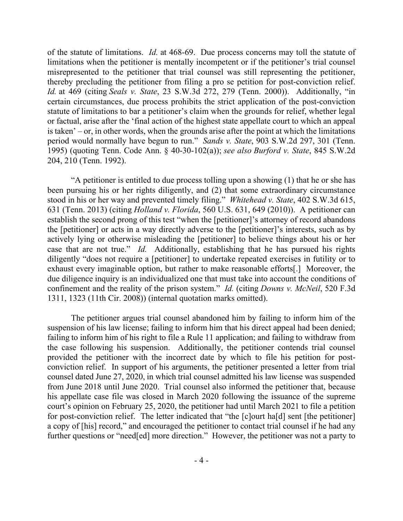of the statute of limitations. *Id.* at 468-69. Due process concerns may toll the statute of limitations when the petitioner is mentally incompetent or if the petitioner's trial counsel misrepresented to the petitioner that trial counsel was still representing the petitioner, thereby precluding the petitioner from filing a pro se petition for post-conviction relief. *Id.* at 469 (citing *Seals v. State*, 23 S.W.3d 272, 279 (Tenn. 2000)). Additionally, "in certain circumstances, due process prohibits the strict application of the post-conviction statute of limitations to bar a petitioner's claim when the grounds for relief, whether legal or factual, arise after the 'final action of the highest state appellate court to which an appeal is taken' – or, in other words, when the grounds arise after the point at which the limitations period would normally have begun to run." *Sands v. State*, 903 S.W.2d 297, 301 (Tenn. 1995) (quoting Tenn. Code Ann. § 40-30-102(a)); *see also Burford v. State*, 845 S.W.2d 204, 210 (Tenn. 1992).

"A petitioner is entitled to due process tolling upon a showing (1) that he or she has been pursuing his or her rights diligently, and (2) that some extraordinary circumstance stood in his or her way and prevented timely filing." *Whitehead v. State*, 402 S.W.3d 615, 631 (Tenn. 2013) (citing *Holland v. Florida*, 560 U.S. 631, 649 (2010)). A petitioner can establish the second prong of this test "when the [petitioner]'s attorney of record abandons the [petitioner] or acts in a way directly adverse to the [petitioner]'s interests, such as by actively lying or otherwise misleading the [petitioner] to believe things about his or her case that are not true." *Id.* Additionally, establishing that he has pursued his rights diligently "does not require a [petitioner] to undertake repeated exercises in futility or to exhaust every imaginable option, but rather to make reasonable efforts[.] Moreover, the due diligence inquiry is an individualized one that must take into account the conditions of confinement and the reality of the prison system." *Id.* (citing *Downs v. McNeil*, 520 F.3d 1311, 1323 (11th Cir. 2008)) (internal quotation marks omitted).

The petitioner argues trial counsel abandoned him by failing to inform him of the suspension of his law license; failing to inform him that his direct appeal had been denied; failing to inform him of his right to file a Rule 11 application; and failing to withdraw from the case following his suspension. Additionally, the petitioner contends trial counsel provided the petitioner with the incorrect date by which to file his petition for postconviction relief. In support of his arguments, the petitioner presented a letter from trial counsel dated June 27, 2020, in which trial counsel admitted his law license was suspended from June 2018 until June 2020. Trial counsel also informed the petitioner that, because his appellate case file was closed in March 2020 following the issuance of the supreme court's opinion on February 25, 2020, the petitioner had until March 2021 to file a petition for post-conviction relief. The letter indicated that "the [c]ourt ha[d] sent [the petitioner] a copy of [his] record," and encouraged the petitioner to contact trial counsel if he had any further questions or "need[ed] more direction." However, the petitioner was not a party to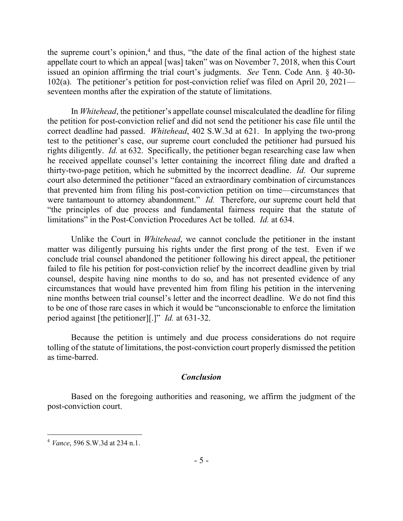the supreme court's opinion,<sup>4</sup> and thus, "the date of the final action of the highest state appellate court to which an appeal [was] taken" was on November 7, 2018, when this Court issued an opinion affirming the trial court's judgments. *See* Tenn. Code Ann. § 40-30- 102(a). The petitioner's petition for post-conviction relief was filed on April 20, 2021 seventeen months after the expiration of the statute of limitations.

In *Whitehead*, the petitioner's appellate counsel miscalculated the deadline for filing the petition for post-conviction relief and did not send the petitioner his case file until the correct deadline had passed. *Whitehead*, 402 S.W.3d at 621. In applying the two-prong test to the petitioner's case, our supreme court concluded the petitioner had pursued his rights diligently. *Id.* at 632. Specifically, the petitioner began researching case law when he received appellate counsel's letter containing the incorrect filing date and drafted a thirty-two-page petition, which he submitted by the incorrect deadline. *Id.* Our supreme court also determined the petitioner "faced an extraordinary combination of circumstances that prevented him from filing his post-conviction petition on time—circumstances that were tantamount to attorney abandonment." *Id.* Therefore, our supreme court held that "the principles of due process and fundamental fairness require that the statute of limitations" in the Post-Conviction Procedures Act be tolled. *Id.* at 634.

Unlike the Court in *Whitehead*, we cannot conclude the petitioner in the instant matter was diligently pursuing his rights under the first prong of the test. Even if we conclude trial counsel abandoned the petitioner following his direct appeal, the petitioner failed to file his petition for post-conviction relief by the incorrect deadline given by trial counsel, despite having nine months to do so, and has not presented evidence of any circumstances that would have prevented him from filing his petition in the intervening nine months between trial counsel's letter and the incorrect deadline. We do not find this to be one of those rare cases in which it would be "unconscionable to enforce the limitation period against [the petitioner][.]" *Id.* at 631-32.

Because the petition is untimely and due process considerations do not require tolling of the statute of limitations, the post-conviction court properly dismissed the petition as time-barred.

## *Conclusion*

Based on the foregoing authorities and reasoning, we affirm the judgment of the post-conviction court.

 $\overline{a}$ <sup>4</sup> *Vance*, 596 S.W.3d at 234 n.1.